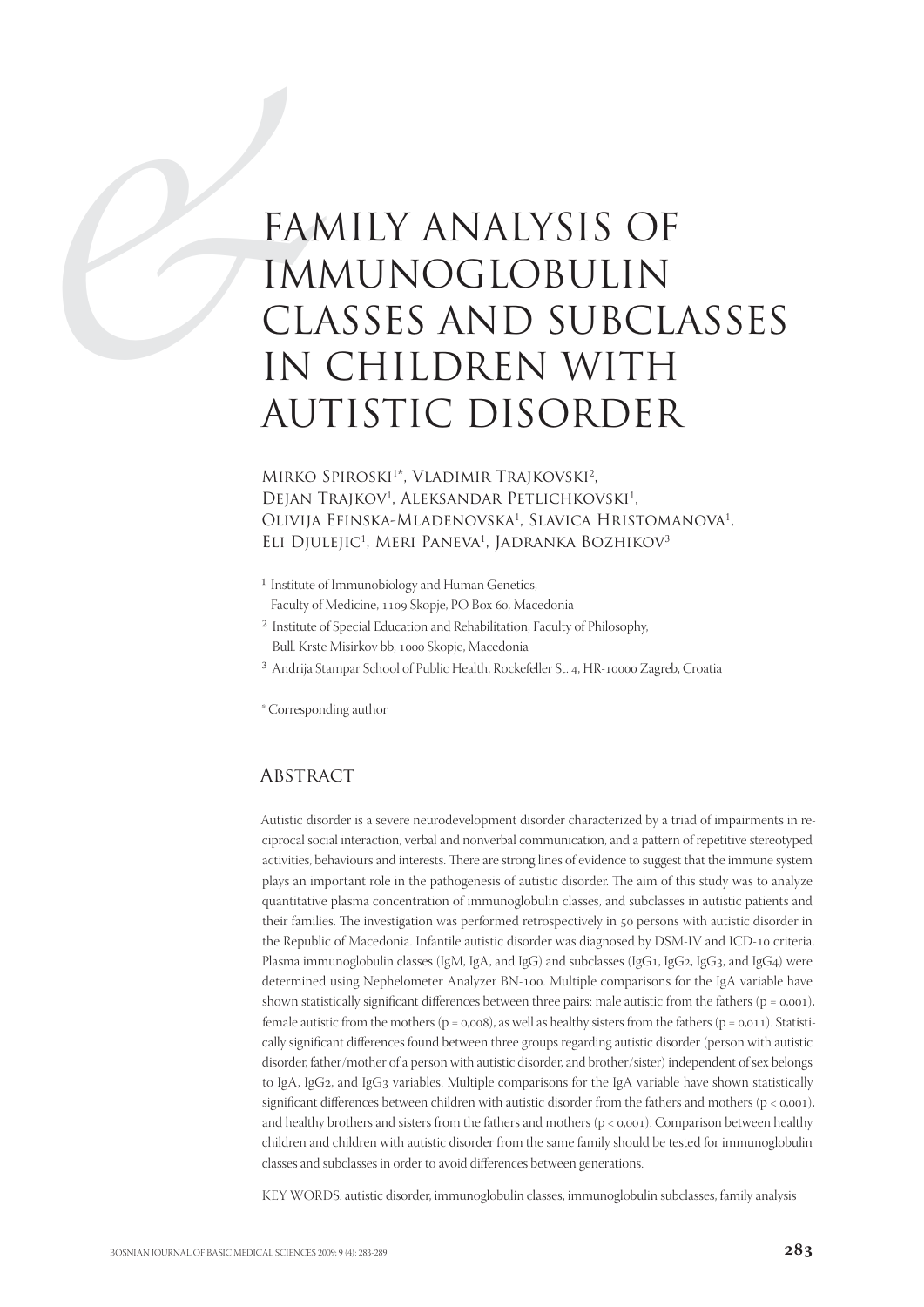# FAM<br>
IMI<br>
CL/<br>
IN<br>
AU FAMILY ANALYSIS OF IMMUNOGLOBULIN CLASSES AND SUBCLASSES IN CHILDREN WITH AUTISTIC DISORDER

MIRKO SPIROSKI<sup>1\*</sup>, VLADIMIR TRAJKOVSKI<sup>2</sup>, DEJAN TRAJKOV<sup>1</sup>, ALEKSANDAR PETLICHKOVSKI<sup>1</sup>, Olivija Efinska-Mladenovska<sup>1</sup>, Slavica Hristomanova<sup>1</sup>, Eli Djulejic<sup>1</sup>, Meri Paneva<sup>1</sup>, Jadranka Bozhikov<sup>3</sup>

- <sup>1</sup> Institute of Immunobiology and Human Genetics, Faculty of Medicine, 1109 Skopje, PO Box 60, Macedonia
- ² Institute of Special Education and Rehabilitation, Faculty of Philosophy, Bull. Krste Misirkov bb, 1000 Skopje, Macedonia
- <sup>3</sup> Andrija Stampar School of Public Health, Rockefeller St. 4, HR-10000 Zagreb, Croatia

\* Corresponding author

## **ABSTRACT**

Autistic disorder is a severe neurodevelopment disorder characterized by a triad of impairments in reciprocal social interaction, verbal and nonverbal communication, and a pattern of repetitive stereotyped activities, behaviours and interests. There are strong lines of evidence to suggest that the immune system plays an important role in the pathogenesis of autistic disorder. The aim of this study was to analyze quantitative plasma concentration of immunoglobulin classes, and subclasses in autistic patients and their families. The investigation was performed retrospectively in 50 persons with autistic disorder in the Republic of Macedonia. Infantile autistic disorder was diagnosed by DSM-IV and ICD-10 criteria. Plasma immunoglobulin classes (IgM, IgA, and IgG) and subclasses (IgG1, IgG2, IgG3, and IgG4) were determined using Nephelometer Analyzer BN-100. Multiple comparisons for the IgA variable have shown statistically significant differences between three pairs: male autistic from the fathers ( $p = 0,001$ ), female autistic from the mothers ( $p = 0.008$ ), as well as healthy sisters from the fathers ( $p = 0.011$ ). Statistically significant differences found between three groups regarding autistic disorder (person with autistic disorder, father/mother of a person with autistic disorder, and brother/sister) independent of sex belongs to IgA, IgG2, and IgG3 variables. Multiple comparisons for the IgA variable have shown statistically significant differences between children with autistic disorder from the fathers and mothers ( $p < 0.001$ ). and healthy brothers and sisters from the fathers and mothers  $(p < 0.001)$ . Comparison between healthy children and children with autistic disorder from the same family should be tested for immunoglobulin classes and subclasses in order to avoid differences between generations.

KEY WORDS: autistic disorder, immunoglobulin classes, immunoglobulin subclasses, family analysis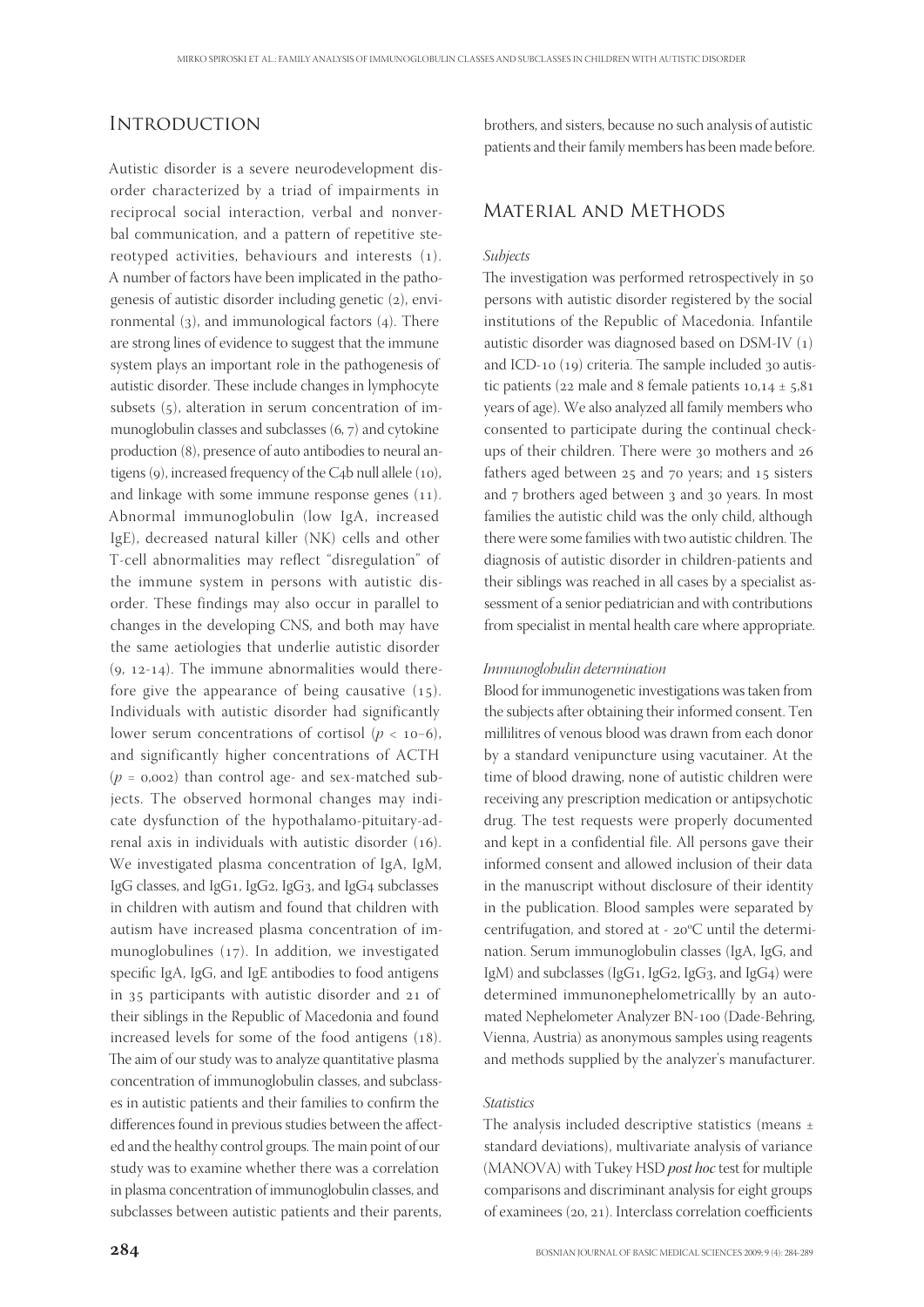## **INTRODUCTION**

Autistic disorder is a severe neurodevelopment disorder characterized by a triad of impairments in reciprocal social interaction, verbal and nonverbal communication, and a pattern of repetitive stereotyped activities, behaviours and interests (1). A number of factors have been implicated in the pathogenesis of autistic disorder including genetic  $(2)$ , environmental  $(3)$ , and immunological factors  $(4)$ . There are strong lines of evidence to suggest that the immune system plays an important role in the pathogenesis of autistic disorder. These include changes in lymphocyte subsets  $(5)$ , alteration in serum concentration of immunoglobulin classes and subclasses  $(6, 7)$  and cytokine production (8), presence of auto antibodies to neural antigens  $(9)$ , increased frequency of the C4b null allele  $(10)$ , and linkage with some immune response genes  $(11)$ . Abnormal immunoglobulin (low IgA, increased IgE), decreased natural killer (NK) cells and other T-cell abnormalities may reflect "disregulation" of the immune system in persons with autistic disorder. These findings may also occur in parallel to changes in the developing CNS, and both may have the same aetiologies that underlie autistic disorder  $(9, 12-14)$ . The immune abnormalities would therefore give the appearance of being causative  $(15)$ . Individuals with autistic disorder had significantly lower serum concentrations of cortisol ( $p < 10-6$ ), and significantly higher concentrations of ACTH ( $p = 0.002$ ) than control age- and sex-matched subjects. The observed hormonal changes may indicate dysfunction of the hypothalamo-pituitary-adrenal axis in individuals with autistic disorder  $(16)$ . We investigated plasma concentration of IgA, IgM, IgG classes, and IgG1, IgG2, IgG3, and IgG4 subclasses in children with autism and found that children with autism have increased plasma concentration of immunoglobulines  $(17)$ . In addition, we investigated specific IgA, IgG, and IgE antibodies to food antigens in  $35$  participants with autistic disorder and  $21$  of their siblings in the Republic of Macedonia and found increased levels for some of the food antigens  $(18)$ . The aim of our study was to analyze quantitative plasma concentration of immunoglobulin classes, and subclasses in autistic patients and their families to confirm the differences found in previous studies between the affected and the healthy control groups. The main point of our study was to examine whether there was a correlation in plasma concentration of immunoglobulin classes, and subclasses between autistic patients and their parents,

brothers, and sisters, because no such analysis of autistic patients and their family members has been made before.

### Material and Methods

#### Subjects

The investigation was performed retrospectively in 50 persons with autistic disorder registered by the social institutions of the Republic of Macedonia. Infantile autistic disorder was diagnosed based on  $DSM-IV(1)$ and ICD-10  $(19)$  criteria. The sample included  $30$  autistic patients ( $22$  male and 8 female patients  $10,14 \pm 5,81$ ) years of age). We also analyzed all family members who consented to participate during the continual checkups of their children. There were 30 mothers and 26 fathers aged between  $25$  and  $70$  years; and  $15$  sisters and 7 brothers aged between 3 and 30 years. In most families the autistic child was the only child, although there were some families with two autistic children. The diagnosis of autistic disorder in children-patients and their siblings was reached in all cases by a specialist assessment of a senior pediatrician and with contributions from specialist in mental health care where appropriate.

#### Immunoglobulin determination

Blood for immunogenetic investigations was taken from the subjects after obtaining their informed consent. Ten millilitres of venous blood was drawn from each donor by a standard venipuncture using vacutainer. At the time of blood drawing, none of autistic children were receiving any prescription medication or antipsychotic drug. The test requests were properly documented and kept in a confidential file. All persons gave their informed consent and allowed inclusion of their data in the manuscript without disclosure of their identity in the publication. Blood samples were separated by centrifugation, and stored at -  $20^{\circ}$ C until the determination. Serum immunoglobulin classes (IgA, IgG, and IgM) and subclasses (IgG1, IgG2, IgG3, and IgG4) were determined immunonephelometricallly by an automated Nephelometer Analyzer BN-100 (Dade-Behring, Vienna, Austria) as anonymous samples using reagents and methods supplied by the analyzer's manufacturer.

#### **Statistics**

The analysis included descriptive statistics (means  $\pm$ standard deviations), multivariate analysis of variance (MANOVA) with Tukey HSD post hoc test for multiple comparisons and discriminant analysis for eight groups of examinees  $(20, 21)$ . Interclass correlation coefficients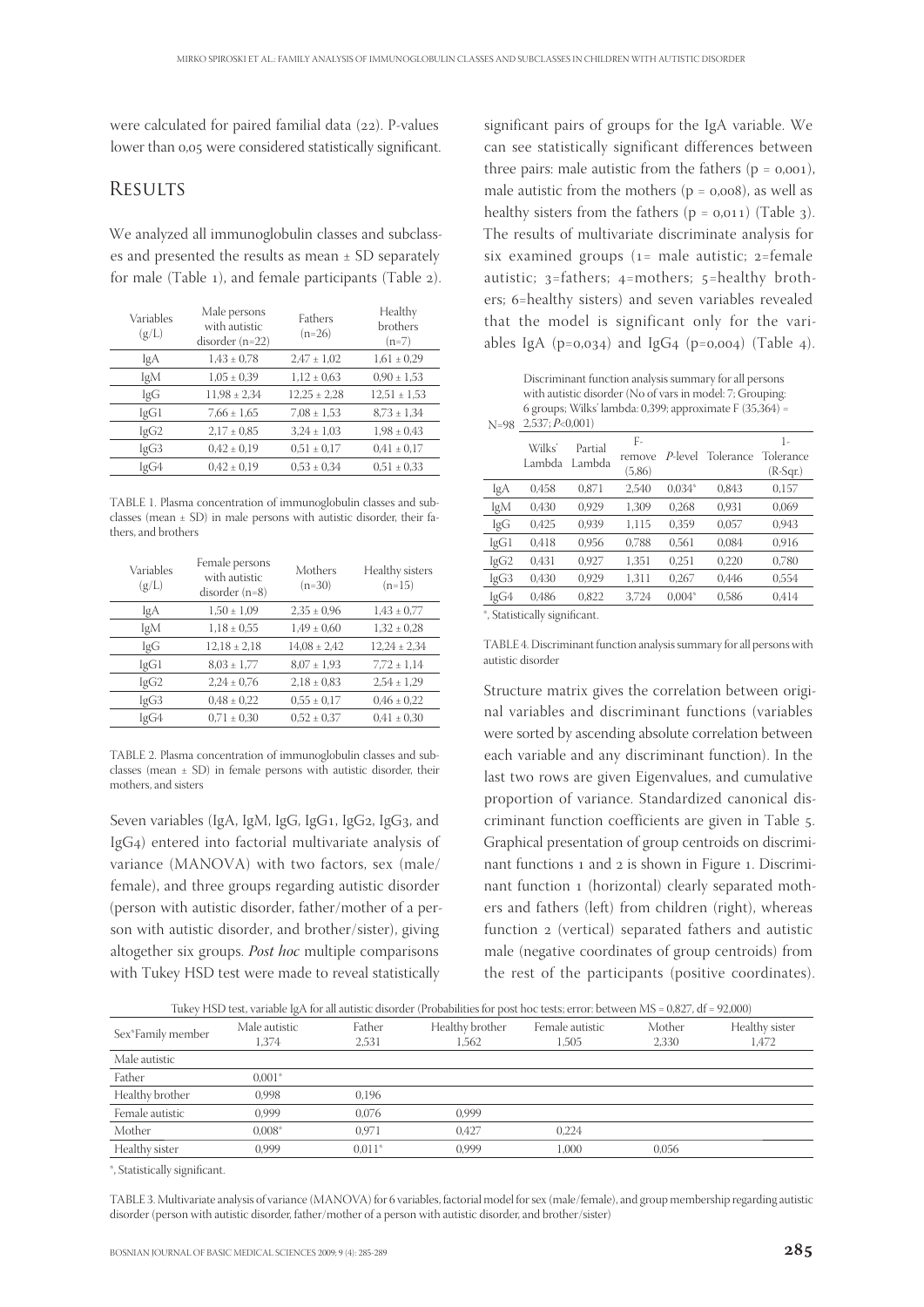were calculated for paired familial data  $(22)$ . P-values lower than 0,05 were considered statistically significant.

## **RESULTS**

We analyzed all immunoglobulin classes and subclasses and presented the results as mean ± SD separately for male (Table  $_1$ ), and female participants (Table  $_2$ ).

| Variables<br>(g/L) | Male persons<br>with autistic<br>disorder $(n=22)$ | Fathers<br>$(n=26)$ | Healthy<br>brothers<br>$(n=7)$ |
|--------------------|----------------------------------------------------|---------------------|--------------------------------|
| IgA                | $1.43 \pm 0.78$                                    | $2.47 \pm 1.02$     | $1,61 \pm 0.29$                |
| IgM                | $1,05 \pm 0,39$                                    | $1,12 \pm 0.63$     | $0.90 \pm 1.53$                |
| IgG                | $11,98 \pm 2,34$                                   | $12,25 \pm 2,28$    | $12,51 \pm 1,53$               |
| IgG1               | $7,66 \pm 1,65$                                    | $7.08 \pm 1.53$     | $8.73 \pm 1.34$                |
| lgG2               | $2.17 \pm 0.85$                                    | $3.24 \pm 1.03$     | $1,98 \pm 0,43$                |
| IgG3               | $0.42 \pm 0.19$                                    | $0.51 \pm 0.17$     | $0.41 \pm 0.17$                |
| IgG4               | $0.42 \pm 0.19$                                    | $0.53 \pm 0.34$     | $0.51 \pm 0.33$                |

TABLE 1. Plasma concentration of immunoglobulin classes and subclasses (mean  $\pm$  SD) in male persons with autistic disorder, their fathers, and brothers

| Variables<br>(g/L) | Female persons<br>with autistic<br>$disorder (n=8)$ | Mothers<br>$(n=30)$ | Healthy sisters<br>$(n=15)$ |
|--------------------|-----------------------------------------------------|---------------------|-----------------------------|
| IgA                | $1,50 \pm 1,09$                                     | $2.35 \pm 0.96$     | $1.43 \pm 0.77$             |
| IgM                | $1,18 \pm 0.55$                                     | $1,49 \pm 0,60$     | $1,32 \pm 0.28$             |
| IgG                | $12.18 \pm 2.18$                                    | $14.08 \pm 2.42$    | $12.24 \pm 2.34$            |
| IgG1               | $8.03 \pm 1.77$                                     | $8.07 \pm 1.93$     | $7.72 \pm 1.14$             |
| lgG2               | $2,24 \pm 0.76$                                     | $2.18 \pm 0.83$     | $2,54 \pm 1,29$             |
| IgG3               | $0.48 \pm 0.22$                                     | $0.55 \pm 0.17$     | $0.46 \pm 0.22$             |
| IgG4               | $0.71 \pm 0.30$                                     | $0.52 \pm 0.37$     | $0.41 \pm 0.30$             |

TABLE 2. Plasma concentration of immunoglobulin classes and subclasses (mean  $\pm$  SD) in female persons with autistic disorder, their mothers, and sisters

Seven variables (IgA, IgM, IgG, IgG1, IgG2, IgG3, and IgG4) entered into factorial multivariate analysis of variance (MANOVA) with two factors, sex (male/ female), and three groups regarding autistic disorder (person with autistic disorder, father/mother of a person with autistic disorder, and brother/sister), giving altogether six groups. Post hoc multiple comparisons with Tukey HSD test were made to reveal statistically

significant pairs of groups for the IgA variable. We can see statistically significant differences between three pairs: male autistic from the fathers  $(p = 0,001)$ , male autistic from the mothers ( $p = 0,008$ ), as well as healthy sisters from the fathers  $(p = 0.011)$  (Table 3). The results of multivariate discriminate analysis for six examined groups  $(1)$  = male autistic;  $2$ =female autistic;  $3$ =fathers;  $4$ =mothers;  $5$ =healthy brothers; 6=healthy sisters) and seven variables revealed that the model is significant only for the variables IgA ( $p=0.034$ ) and IgG<sub>4</sub> ( $p=0.004$ ) (Table 4).

 $N=98$   $2,537; P<0,001$ Discriminant function analysis summary for all persons with autistic disorder (No of vars in model: 7; Grouping: 6 groups; Wilks' lambda: 0,399; approximate F (35,364) =

| $\cdots$ |                  |                   |                        |          |           |                               |
|----------|------------------|-------------------|------------------------|----------|-----------|-------------------------------|
|          | Wilks'<br>Lambda | Partial<br>Lambda | F-<br>remove<br>(5,86) | P-level  | Tolerance | 1-<br>Tolerance<br>$(R-Sqr.)$ |
| IgA      | 0.458            | 0.871             | 2.540                  | $0.034*$ | 0,843     | 0,157                         |
| IgM      | 0,430            | 0.929             | 1.309                  | 0,268    | 0,931     | 0,069                         |
| IgG      | 0.425            | 0.939             | 1.115                  | 0.359    | 0.057     | 0,943                         |
| lgG1     | 0,418            | 0.956             | 0.788                  | 0.561    | 0.084     | 0,916                         |
| lgG2     | 0.431            | 0,927             | 1,351                  | 0.251    | 0.220     | 0,780                         |
| IgG3     | 0.430            | 0.929             | 1.311                  | 0.267    | 0.446     | 0.554                         |
| IgG4     | 0.486            | 0.822             | 3.724                  | $0.004*$ | 0,586     | 0.414                         |
|          |                  |                   |                        |          |           |                               |

\*, Statistically significant.

TABLE 4. Discriminant function analysis summary for all persons with autistic disorder

Structure matrix gives the correlation between original variables and discriminant functions (variables were sorted by ascending absolute correlation between each variable and any discriminant function). In the last two rows are given Eigenvalues, and cumulative proportion of variance. Standardized canonical discriminant function coefficients are given in Table 5. Graphical presentation of group centroids on discriminant functions 1 and 2 is shown in Figure 1. Discriminant function 1 (horizontal) clearly separated mothers and fathers (left) from children (right), whereas function 2 (vertical) separated fathers and autistic male (negative coordinates of group centroids) from the rest of the participants (positive coordinates).

Tukey HSD test, variable IgA for all autistic disorder (Probabilities for post hoc tests; error: between MS = 0,827, df = 92,000)

|                   | . .                    |                 |                          |                          |                 |                         |
|-------------------|------------------------|-----------------|--------------------------|--------------------------|-----------------|-------------------------|
| Sex*Family member | Male autistic<br>1.374 | Father<br>2.531 | Healthy brother<br>1.562 | Female autistic<br>1.505 | Mother<br>2.330 | Healthy sister<br>1,472 |
| Male autistic     |                        |                 |                          |                          |                 |                         |
| Father            | $0.001*$               |                 |                          |                          |                 |                         |
| Healthy brother   | 0.998                  | 0,196           |                          |                          |                 |                         |
| Female autistic   | 0.999                  | 0.076           | 0.999                    |                          |                 |                         |
| Mother            | $0.008*$               | 0.971           | 0.427                    | 0.224                    |                 |                         |
| Healthy sister    | 0.999                  | $0.011*$        | 0,999                    | 1.000                    | 0,056           |                         |
|                   |                        |                 |                          |                          |                 |                         |

\*, Statistically significant.

TABLE 3. Multivariate analysis of variance (MANOVA) for 6 variables, factorial model for sex (male/female), and group membership regarding autistic disorder (person with autistic disorder, father/mother of a person with autistic disorder, and brother/sister)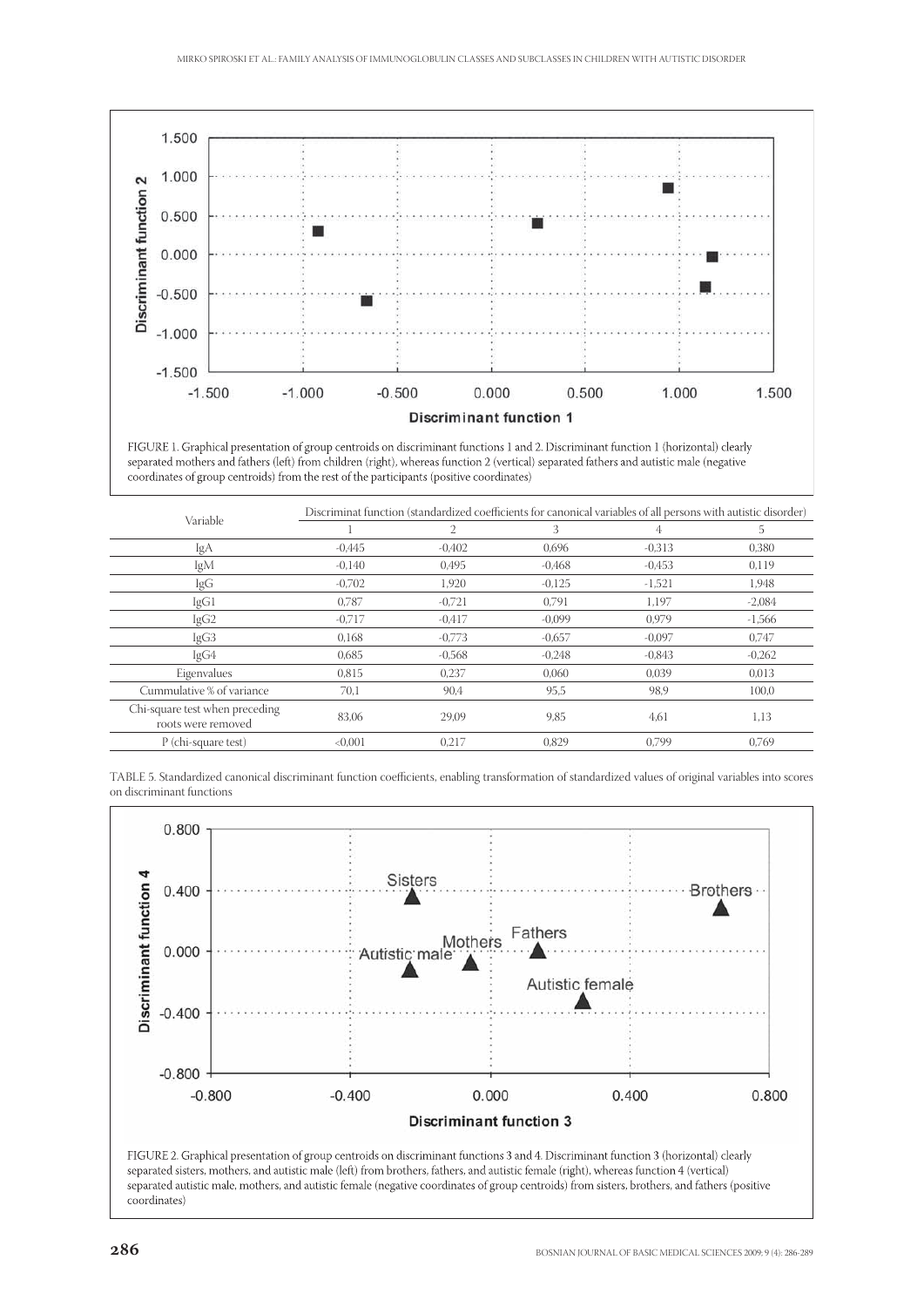

FIGURE 1. Graphical presentation of group centroids on discriminant functions 1 and 2. Discriminant function 1 (horizontal) clearly separated mothers and fathers (left) from children (right), whereas function 2 (vertical) separated fathers and autistic male (negative coordinates of group centroids) from the rest of the participants (positive coordinates)

| Variable                                             | Discriminat function (standardized coefficients for canonical variables of all persons with autistic disorder) |          |          |          |          |  |
|------------------------------------------------------|----------------------------------------------------------------------------------------------------------------|----------|----------|----------|----------|--|
|                                                      |                                                                                                                | 2        | 3        | 4        | 5        |  |
| IgA                                                  | $-0.445$                                                                                                       | $-0,402$ | 0,696    | $-0,313$ | 0,380    |  |
| IgM                                                  | $-0.140$                                                                                                       | 0.495    | $-0.468$ | $-0.453$ | 0,119    |  |
| IgG                                                  | $-0.702$                                                                                                       | 1.920    | $-0,125$ | $-1,521$ | 1,948    |  |
| IgG1                                                 | 0,787                                                                                                          | $-0,721$ | 0,791    | 1,197    | $-2,084$ |  |
| IgG <sub>2</sub>                                     | $-0,717$                                                                                                       | $-0.417$ | $-0.099$ | 0.979    | $-1,566$ |  |
| IgG3                                                 | 0.168                                                                                                          | $-0,773$ | $-0,657$ | $-0,097$ | 0,747    |  |
| IgG4                                                 | 0.685                                                                                                          | $-0.568$ | $-0.248$ | $-0.843$ | $-0,262$ |  |
| Eigenvalues                                          | 0,815                                                                                                          | 0,237    | 0,060    | 0,039    | 0,013    |  |
| Cummulative % of variance                            | 70,1                                                                                                           | 90,4     | 95,5     | 98.9     | 100,0    |  |
| Chi-square test when preceding<br>roots were removed | 83,06                                                                                                          | 29,09    | 9,85     | 4,61     | 1,13     |  |
| P (chi-square test)                                  | < 0.001                                                                                                        | 0.217    | 0.829    | 0.799    | 0.769    |  |

TABLE 5. Standardized canonical discriminant function coefficients, enabling transformation of standardized values of original variables into scores on discriminant functions

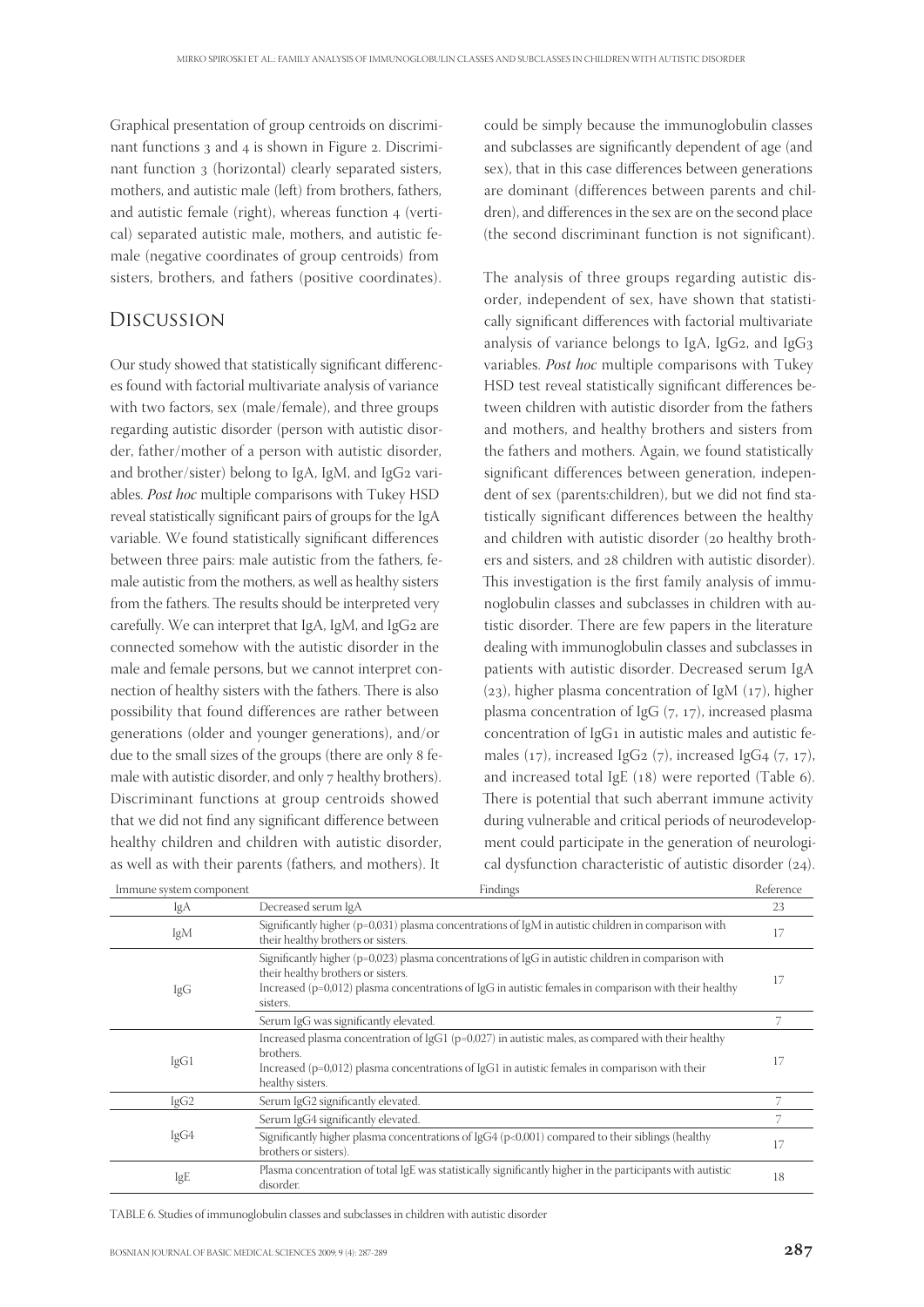Graphical presentation of group centroids on discriminant functions 3 and 4 is shown in Figure 2. Discriminant function 3 (horizontal) clearly separated sisters, mothers, and autistic male (left) from brothers, fathers, and autistic female (right), whereas function 4 (vertical) separated autistic male, mothers, and autistic female (negative coordinates of group centroids) from sisters, brothers, and fathers (positive coordinates).

# Discussion

Our study showed that statistically significant differences found with factorial multivariate analysis of variance with two factors, sex (male/female), and three groups regarding autistic disorder (person with autistic disorder, father/mother of a person with autistic disorder, and brother/sister) belong to IgA, IgM, and IgG2 variables. Post hoc multiple comparisons with Tukey HSD reveal statistically significant pairs of groups for the IgA variable. We found statistically significant differences between three pairs: male autistic from the fathers, female autistic from the mothers, as well as healthy sisters from the fathers. The results should be interpreted very carefully. We can interpret that IgA, IgM, and IgG2 are connected somehow with the autistic disorder in the male and female persons, but we cannot interpret connection of healthy sisters with the fathers. There is also possibility that found differences are rather between generations (older and younger generations), and/or due to the small sizes of the groups (there are only female with autistic disorder, and only 7 healthy brothers). Discriminant functions at group centroids showed that we did not find any significant difference between healthy children and children with autistic disorder, as well as with their parents (fathers, and mothers). It

could be simply because the immunoglobulin classes and subclasses are significantly dependent of age (and sex), that in this case differences between generations are dominant (differences between parents and children), and differences in the sex are on the second place (the second discriminant function is not significant).

The analysis of three groups regarding autistic disorder, independent of sex, have shown that statistically significant differences with factorial multivariate analysis of variance belongs to IgA, IgG<sub>2</sub>, and IgG<sub>3</sub> variables. Post hoc multiple comparisons with Tukey HSD test reveal statistically significant differences between children with autistic disorder from the fathers and mothers, and healthy brothers and sisters from the fathers and mothers. Again, we found statistically significant differences between generation, independent of sex (parents:children), but we did not find statistically significant differences between the healthy and children with autistic disorder (20 healthy brothers and sisters, and 28 children with autistic disorder). This investigation is the first family analysis of immunoglobulin classes and subclasses in children with autistic disorder. There are few papers in the literature dealing with immunoglobulin classes and subclasses in patients with autistic disorder. Decreased serum IgA (23), higher plasma concentration of IgM (17), higher plasma concentration of IgG  $(7, 17)$ , increased plasma concentration of IgG1 in autistic males and autistic females (17), increased IgG<sub>2</sub> (7), increased IgG<sub>4</sub> (7, 17), and increased total IgE  $(18)$  were reported (Table 6). There is potential that such aberrant immune activity during vulnerable and critical periods of neurodevelopment could participate in the generation of neurological dysfunction characteristic of autistic disorder  $(24)$ .

| Immune system component | Findings                                                                                                                                                                                                                                                               | Reference |
|-------------------------|------------------------------------------------------------------------------------------------------------------------------------------------------------------------------------------------------------------------------------------------------------------------|-----------|
| IgA                     | Decreased serum IgA                                                                                                                                                                                                                                                    | 23        |
| IgM                     | Significantly higher ( $p=0.031$ ) plasma concentrations of IgM in autistic children in comparison with<br>their healthy brothers or sisters.                                                                                                                          | 17        |
| IgG                     | Significantly higher ( $p=0.023$ ) plasma concentrations of IgG in autistic children in comparison with<br>their healthy brothers or sisters.<br>Increased ( $p=0.012$ ) plasma concentrations of IgG in autistic females in comparison with their healthy<br>sisters. | 17        |
|                         | Serum IgG was significantly elevated.                                                                                                                                                                                                                                  |           |
| lgG1                    | Increased plasma concentration of IgG1 ( $p=0.027$ ) in autistic males, as compared with their healthy<br>brothers.<br>Increased ( $p=0.012$ ) plasma concentrations of IgG1 in autistic females in comparison with their<br>healthy sisters.                          | 17        |
| IgG2                    | Serum IgG2 significantly elevated.                                                                                                                                                                                                                                     | 7         |
| IgG4                    | Serum IgG4 significantly elevated.                                                                                                                                                                                                                                     |           |
|                         | Significantly higher plasma concentrations of IgG4 ( $p<0,001$ ) compared to their siblings (healthy<br>brothers or sisters).                                                                                                                                          |           |
| IgE                     | Plasma concentration of total IgE was statistically significantly higher in the participants with autistic<br>disorder.                                                                                                                                                | 18        |

TABLE 6. Studies of immunoglobulin classes and subclasses in children with autistic disorder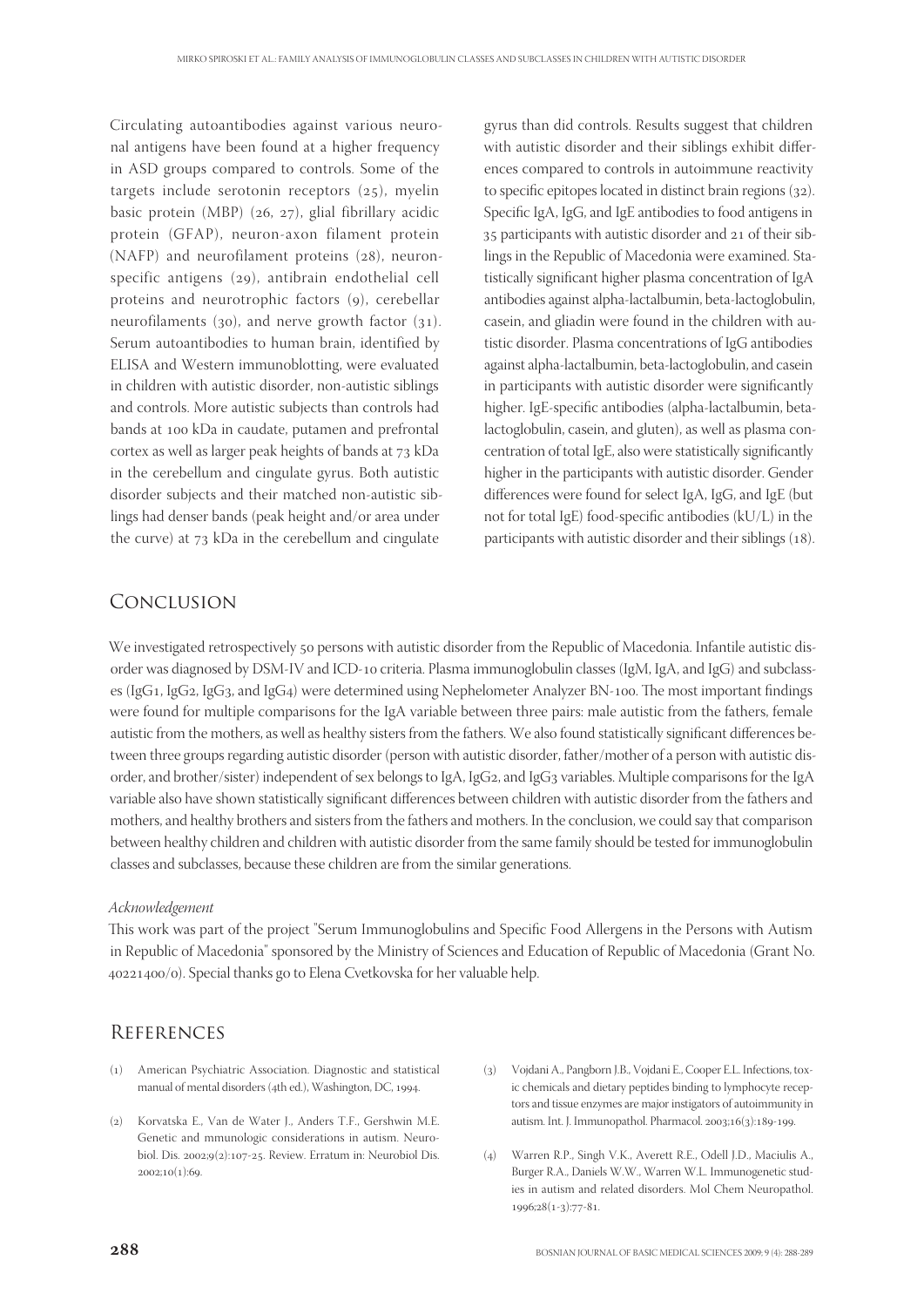Circulating autoantibodies against various neuronal antigens have been found at a higher frequency in ASD groups compared to controls. Some of the targets include serotonin receptors  $(z_5)$ , myelin basic protein (MBP)  $(26, 27)$ , glial fibrillary acidic protein (GFAP), neuron-axon filament protein  $(NAFP)$  and neurofilament proteins  $(28)$ , neuronspecific antigens  $(29)$ , antibrain endothelial cell proteins and neurotrophic factors (9), cerebellar neurofilaments (30), and nerve growth factor (31). Serum autoantibodies to human brain, identified by ELISA and Western immunoblotting, were evaluated in children with autistic disorder, non-autistic siblings and controls. More autistic subjects than controls had bands at 100 kDa in caudate, putamen and prefrontal cortex as well as larger peak heights of bands at 73 kDa in the cerebellum and cingulate gyrus. Both autistic disorder subjects and their matched non-autistic siblings had denser bands (peak height and/or area under the curve) at  $73$  kDa in the cerebellum and cingulate

## Conclusion

gyrus than did controls. Results suggest that children with autistic disorder and their siblings exhibit differences compared to controls in autoimmune reactivity to specific epitopes located in distinct brain regions  $(32)$ . Specific IgA, IgG, and IgE antibodies to food antigens in 35 participants with autistic disorder and 21 of their siblings in the Republic of Macedonia were examined. Statistically significant higher plasma concentration of IgA antibodies against alpha-lactalbumin, beta-lactoglobulin, casein, and gliadin were found in the children with autistic disorder. Plasma concentrations of IgG antibodies against alpha-lactalbumin, beta-lactoglobulin, and casein in participants with autistic disorder were significantly higher. IgE-specific antibodies (alpha-lactalbumin, betalactoglobulin, casein, and gluten), as well as plasma concentration of total IgE, also were statistically significantly higher in the participants with autistic disorder. Gender differences were found for select IgA, IgG, and IgE (but not for total IgE) food-specific antibodies (kU/L) in the participants with autistic disorder and their siblings  $(18)$ .

We investigated retrospectively 50 persons with autistic disorder from the Republic of Macedonia. Infantile autistic disorder was diagnosed by DSM-IV and ICD-10 criteria. Plasma immunoglobulin classes (IgM, IgA, and IgG) and subclasses (IgG1, IgG2, IgG3, and IgG4) were determined using Nephelometer Analyzer BN-100. The most important findings were found for multiple comparisons for the IgA variable between three pairs: male autistic from the fathers, female autistic from the mothers, as well as healthy sisters from the fathers. We also found statistically significant differences between three groups regarding autistic disorder (person with autistic disorder, father/mother of a person with autistic disorder, and brother/sister) independent of sex belongs to IgA, IgG2, and IgG3 variables. Multiple comparisons for the IgA variable also have shown statistically significant differences between children with autistic disorder from the fathers and mothers, and healthy brothers and sisters from the fathers and mothers. In the conclusion, we could say that comparison between healthy children and children with autistic disorder from the same family should be tested for immunoglobulin classes and subclasses, because these children are from the similar generations.

#### Acknowledgement

This work was part of the project "Serum Immunoglobulins and Specific Food Allergens in the Persons with Autism in Republic of Macedonia" sponsored by the Ministry of Sciences and Education of Republic of Macedonia (Grant No. 40221400/0). Special thanks go to Elena Cvetkovska for her valuable help.

## **REFERENCES**

- () American Psychiatric Association. Diagnostic and statistical manual of mental disorders (4th ed.), Washington, DC, 1994.
- () Korvatska E., Van de Water J., Anders T.F., Gershwin M.E. Genetic and mmunologic considerations in autism. Neurobiol. Dis. 2002;9(2):107-25. Review. Erratum in: Neurobiol Dis.  $2002:10(1):69.$
- () Vojdani A., Pangborn J.B., Vojdani E., Cooper E.L. Infections, toxic chemicals and dietary peptides binding to lymphocyte receptors and tissue enzymes are major instigators of autoimmunity in autism. Int. J. Immunopathol. Pharmacol. 2003;16(3):189-199.
- () Warren R.P., Singh V.K., Averett R.E., Odell J.D., Maciulis A., Burger R.A., Daniels W.W., Warren W.L. Immunogenetic studies in autism and related disorders. Mol Chem Neuropathol. 1996;28(1-3):77-81.